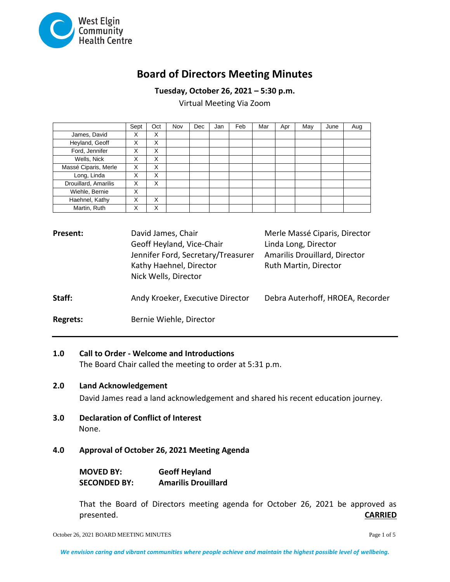

# **Board of Directors Meeting Minutes**

**Tuesday, October 26, 2021 – 5:30 p.m.**

Virtual Meeting Via Zoom

|                      | Sept | Oct | Nov | <b>Dec</b> | Jan | Feb | Mar | Apr | May | June | Aug |
|----------------------|------|-----|-----|------------|-----|-----|-----|-----|-----|------|-----|
| James, David         | X    | X   |     |            |     |     |     |     |     |      |     |
| Heyland, Geoff       | x    | X   |     |            |     |     |     |     |     |      |     |
| Ford, Jennifer       | X    | X   |     |            |     |     |     |     |     |      |     |
| Wells, Nick          | X    | X   |     |            |     |     |     |     |     |      |     |
| Massé Ciparis, Merle | X    | X   |     |            |     |     |     |     |     |      |     |
| Long, Linda          | X    | X   |     |            |     |     |     |     |     |      |     |
| Drouillard, Amarilis | X    | X   |     |            |     |     |     |     |     |      |     |
| Wiehle, Bernie       | x    |     |     |            |     |     |     |     |     |      |     |
| Haehnel, Kathy       | x    | X   |     |            |     |     |     |     |     |      |     |
| Martin, Ruth         | X    | X   |     |            |     |     |     |     |     |      |     |

| Present:        | David James, Chair<br>Geoff Heyland, Vice-Chair<br>Jennifer Ford, Secretary/Treasurer<br>Kathy Haehnel, Director<br>Nick Wells, Director | Merle Massé Ciparis, Director<br>Linda Long, Director<br>Amarilis Drouillard, Director<br>Ruth Martin, Director |
|-----------------|------------------------------------------------------------------------------------------------------------------------------------------|-----------------------------------------------------------------------------------------------------------------|
| Staff:          | Andy Kroeker, Executive Director                                                                                                         | Debra Auterhoff, HROEA, Recorder                                                                                |
| <b>Regrets:</b> | Bernie Wiehle, Director                                                                                                                  |                                                                                                                 |

## **1.0 Call to Order - Welcome and Introductions**

The Board Chair called the meeting to order at 5:31 p.m.

## **2.0 Land Acknowledgement**

David James read a land acknowledgement and shared his recent education journey.

**3.0 Declaration of Conflict of Interest** None.

## **4.0 Approval of October 26, 2021 Meeting Agenda**

| <b>MOVED BY:</b>    | <b>Geoff Heyland</b>       |
|---------------------|----------------------------|
| <b>SECONDED BY:</b> | <b>Amarilis Drouillard</b> |

That the Board of Directors meeting agenda for October 26, 2021 be approved as presented. **CARRIED**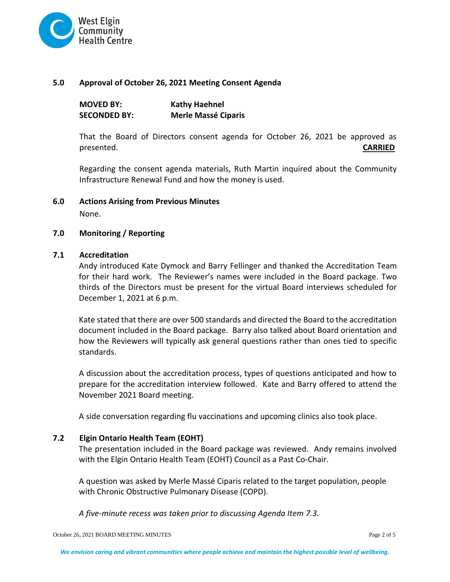

#### **5.0 Approval of October 26, 2021 Meeting Consent Agenda**

| <b>MOVED BY:</b>    | <b>Kathy Haehnel</b>       |
|---------------------|----------------------------|
| <b>SECONDED BY:</b> | <b>Merle Massé Ciparis</b> |

That the Board of Directors consent agenda for October 26, 2021 be approved as presented. **CARRIED**

Regarding the consent agenda materials, Ruth Martin inquired about the Community Infrastructure Renewal Fund and how the money is used.

**6.0 Actions Arising from Previous Minutes** 

None.

#### **7.0 Monitoring / Reporting**

#### **7.1 Accreditation**

Andy introduced Kate Dymock and Barry Fellinger and thanked the Accreditation Team for their hard work. The Reviewer's names were included in the Board package. Two thirds of the Directors must be present for the virtual Board interviews scheduled for December 1, 2021 at 6 p.m.

Kate stated that there are over 500 standards and directed the Board to the accreditation document included in the Board package. Barry also talked about Board orientation and how the Reviewers will typically ask general questions rather than ones tied to specific standards.

A discussion about the accreditation process, types of questions anticipated and how to prepare for the accreditation interview followed. Kate and Barry offered to attend the November 2021 Board meeting.

A side conversation regarding flu vaccinations and upcoming clinics also took place.

### **7.2 Elgin Ontario Health Team (EOHT)**

The presentation included in the Board package was reviewed. Andy remains involved with the Elgin Ontario Health Team (EOHT) Council as a Past Co-Chair.

A question was asked by Merle Massé Ciparis related to the target population, people with Chronic Obstructive Pulmonary Disease (COPD).

*A five-minute recess was taken prior to discussing Agenda Item 7.3.*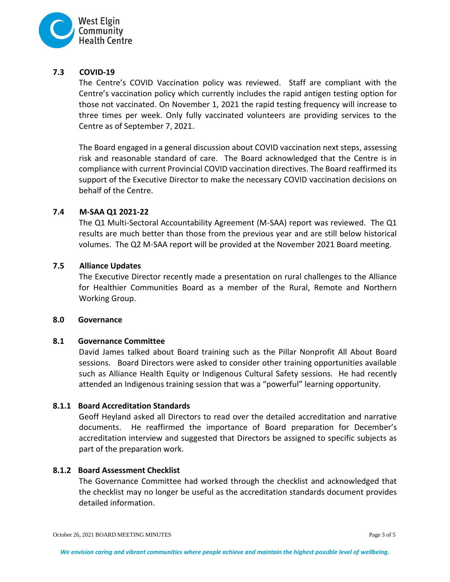

## **7.3 COVID-19**

The Centre's COVID Vaccination policy was reviewed. Staff are compliant with the Centre's vaccination policy which currently includes the rapid antigen testing option for those not vaccinated. On November 1, 2021 the rapid testing frequency will increase to three times per week. Only fully vaccinated volunteers are providing services to the Centre as of September 7, 2021.

The Board engaged in a general discussion about COVID vaccination next steps, assessing risk and reasonable standard of care. The Board acknowledged that the Centre is in compliance with current Provincial COVID vaccination directives. The Board reaffirmed its support of the Executive Director to make the necessary COVID vaccination decisions on behalf of the Centre.

## **7.4 M-SAA Q1 2021-22**

The Q1 Multi-Sectoral Accountability Agreement (M-SAA) report was reviewed. The Q1 results are much better than those from the previous year and are still below historical volumes. The Q2 M-SAA report will be provided at the November 2021 Board meeting.

#### **7.5 Alliance Updates**

The Executive Director recently made a presentation on rural challenges to the Alliance for Healthier Communities Board as a member of the Rural, Remote and Northern Working Group.

#### **8.0 Governance**

#### **8.1 Governance Committee**

David James talked about Board training such as the Pillar Nonprofit All About Board sessions. Board Directors were asked to consider other training opportunities available such as Alliance Health Equity or Indigenous Cultural Safety sessions. He had recently attended an Indigenous training session that was a "powerful" learning opportunity.

## **8.1.1 Board Accreditation Standards**

Geoff Heyland asked all Directors to read over the detailed accreditation and narrative documents. He reaffirmed the importance of Board preparation for December's accreditation interview and suggested that Directors be assigned to specific subjects as part of the preparation work.

#### **8.1.2 Board Assessment Checklist**

The Governance Committee had worked through the checklist and acknowledged that the checklist may no longer be useful as the accreditation standards document provides detailed information.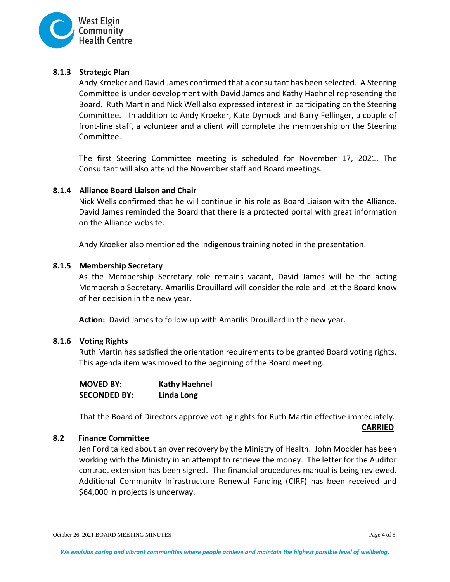

## **8.1.3 Strategic Plan**

Andy Kroeker and David James confirmed that a consultant has been selected. A Steering Committee is under development with David James and Kathy Haehnel representing the Board. Ruth Martin and Nick Well also expressed interest in participating on the Steering Committee. In addition to Andy Kroeker, Kate Dymock and Barry Fellinger, a couple of front-line staff, a volunteer and a client will complete the membership on the Steering Committee.

The first Steering Committee meeting is scheduled for November 17, 2021. The Consultant will also attend the November staff and Board meetings.

#### **8.1.4 Alliance Board Liaison and Chair**

Nick Wells confirmed that he will continue in his role as Board Liaison with the Alliance. David James reminded the Board that there is a protected portal with great information on the Alliance website.

Andy Kroeker also mentioned the Indigenous training noted in the presentation.

#### **8.1.5 Membership Secretary**

As the Membership Secretary role remains vacant, David James will be the acting Membership Secretary. Amarilis Drouillard will consider the role and let the Board know of her decision in the new year.

**Action:** David James to follow-up with Amarilis Drouillard in the new year.

#### **8.1.6 Voting Rights**

Ruth Martin has satisfied the orientation requirements to be granted Board voting rights. This agenda item was moved to the beginning of the Board meeting.

| <b>MOVED BY:</b>    | <b>Kathy Haehnel</b> |
|---------------------|----------------------|
| <b>SECONDED BY:</b> | Linda Long           |

That the Board of Directors approve voting rights for Ruth Martin effective immediately.

**CARRIED**

## **8.2 Finance Committee**

Jen Ford talked about an over recovery by the Ministry of Health. John Mockler has been working with the Ministry in an attempt to retrieve the money. The letter for the Auditor contract extension has been signed. The financial procedures manual is being reviewed. Additional Community Infrastructure Renewal Funding (CIRF) has been received and \$64,000 in projects is underway.